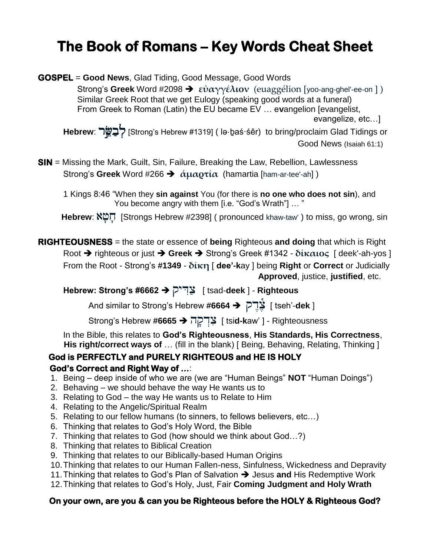## The Book of Romans – Key Words Cheat Sheet

**GOSPEL** = Good News, Glad Tiding, Good Message, Good Words Strong's Greek Word #2098  $\rightarrow$  εύαγγέλιον (euaggélion [yoo-ang-ghel'-ee-on ]) Similar Greek Root that we get Eulogy (speaking good words at a funeral) From Greek to Roman (Latin) the EU became EV ... evangelion [evangelist, evangelize, etc...] Hebrew: לְבַשֱׂר [Strong's Hebrew #1319] ( Iə⋅b̯aś·śêr) to bring/proclaim Glad Tidings or Good News (Isaiah 61:1)

**SIN** = Missing the Mark, Guilt, Sin, Failure, Breaking the Law, Rebellion, Lawlessness Strong's Greek Word #266  $\rightarrow \alpha \mu \alpha \rho \tau \alpha$  (hamartia [ham-ar-tee'-ah])

1 Kings 8:46 "When they sin against You (for there is no one who does not sin), and You become angry with them [i.e. "God's Wrath"] ... "

Hebrew: X凹 [Strongs Hebrew #2398] (pronounced khaw-taw') to miss, go wrong, sin

**RIGHTEOUSNESS** = the state or essence of being Righteous and doing that which is Right Root  $\rightarrow$  righteous or just  $\rightarrow$  Greek  $\rightarrow$  Strong's Greek #1342 -  $\delta$ *i* $\kappa \alpha$ ios [ deek'-ah-yos ] From the Root - Strong's #1349 - δίκη [ dee'-kay ] being Right or Correct or Judicially Approved, justice, justified, etc.

Hebrew: Strong's #6662  $\rightarrow$  ["sad-deek ] - Righteous

[ tseh'-**dek ] ```** لِأَيْالِ And similar to Strong's Hebrew #6664 → الْأَيْالِ

Strong's Hebrew #6665 → בְּרְקָה [ tsid-kaw' ] - Righteousness

In the Bible, this relates to God's Righteousness, His Standards, His Correctness, His right/correct ways of ... (fill in the blank) [ Being, Behaving, Relating, Thinking ]

## God is PERFECTLY and PURELY RIGHTEOUS and HE IS HOLY God's Correct and Right Way of ...

- 1. Being deep inside of who we are (we are "Human Beings" NOT "Human Doings")
- 2. Behaving we should behave the way He wants us to
- 3. Relating to God the way He wants us to Relate to Him
- 4. Relating to the Angelic/Spiritual Realm
- 5. Relating to our fellow humans (to sinners, to fellows believers, etc...)
- 6. Thinking that relates to God's Holy Word, the Bible
- 7. Thinking that relates to God (how should we think about God...?)
- 8. Thinking that relates to Biblical Creation
- 9. Thinking that relates to our Biblically-based Human Origins
- 10. Thinking that relates to our Human Fallen-ness, Sinfulness, Wickedness and Depravity
- 11. Thinking that relates to God's Plan of Salvation  $\rightarrow$  Jesus and His Redemptive Work
- 12. Thinking that relates to God's Holy, Just, Fair Coming Judgment and Holy Wrath

## On your own, are you & can you be Righteous before the HOLY & Righteous God?